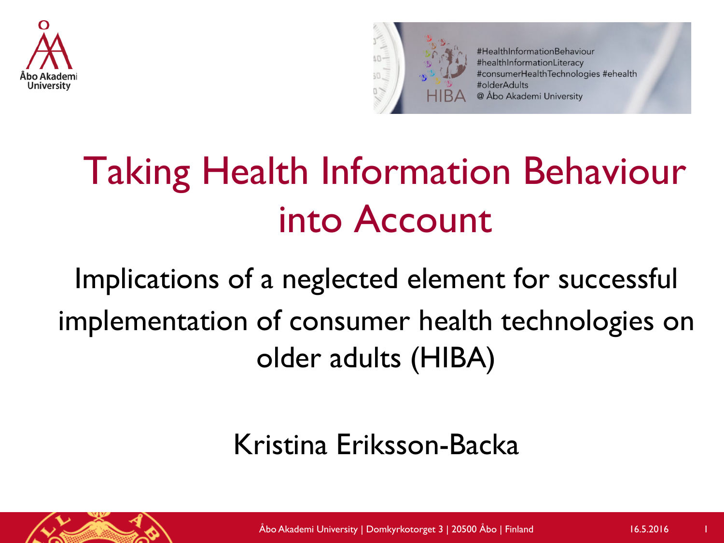



#HealthInformationBehaviour #healthInformationLiteracy #consumerHealthTechnologies #ehealth #olderAdults @ Åbo Akademi University

## Taking Health Information Behaviour into Account

### Implications of a neglected element for successful implementation of consumer health technologies on older adults (HIBA)

#### Kristina Eriksson-Backa

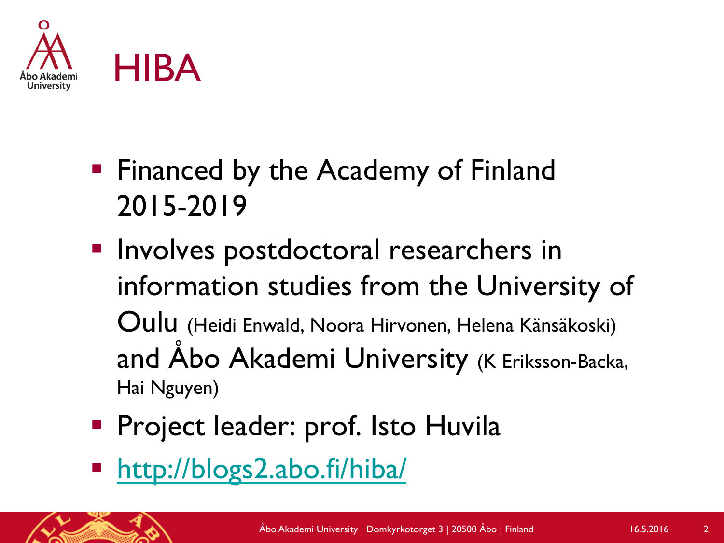

- Financed by the Academy of Finland 2015-2019
- **Involves postdoctoral researchers in** information studies from the University of Oulu (Heidi Enwald, Noora Hirvonen, Helena Känsäkoski) and Åbo Akademi University (K Eriksson-Backa, Hai Nguyen)
- **Project leader: prof. Isto Huvila**
- § http://blogs2.abo.fi/hiba/

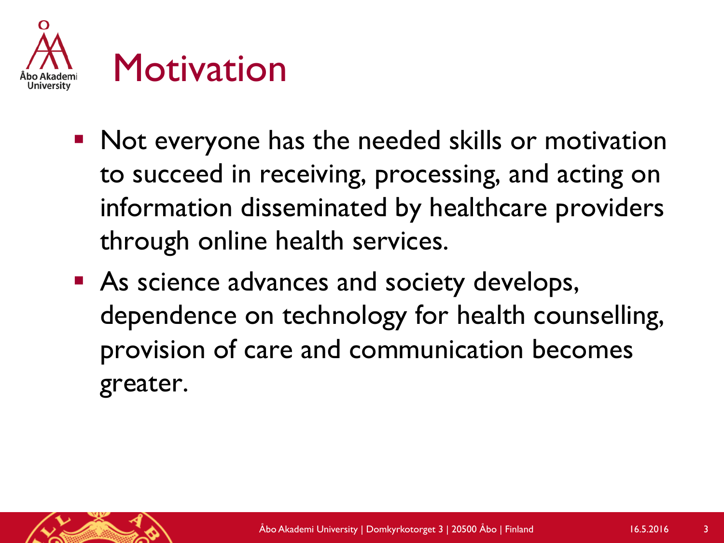

- Not everyone has the needed skills or motivation to succeed in receiving, processing, and acting on information disseminated by healthcare providers through online health services.
- As science advances and society develops, dependence on technology for health counselling, provision of care and communication becomes greater.

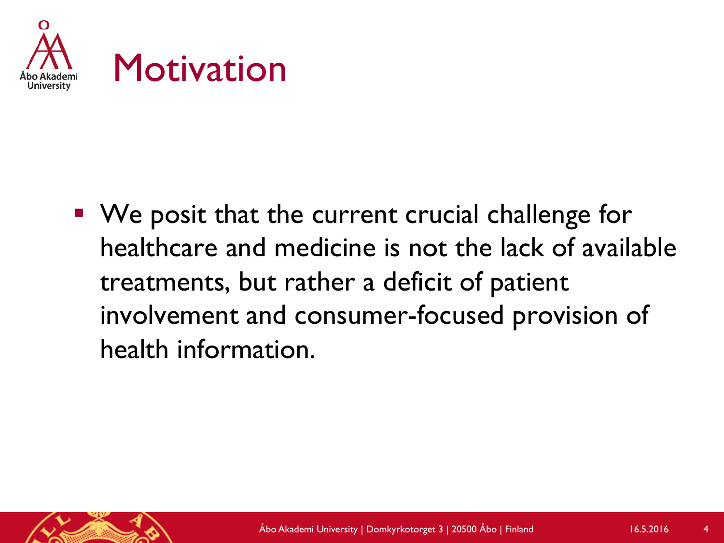

■ We posit that the current crucial challenge for healthcare and medicine is not the lack of available treatments, but rather a deficit of patient involvement and consumer-focused provision of health information.

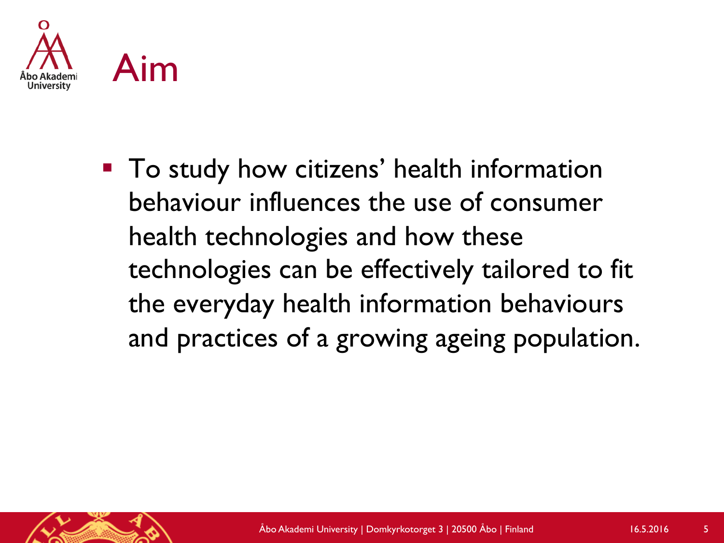

■ To study how citizens' health information behaviour influences the use of consumer health technologies and how these technologies can be effectively tailored to fit the everyday health information behaviours and practices of a growing ageing population.

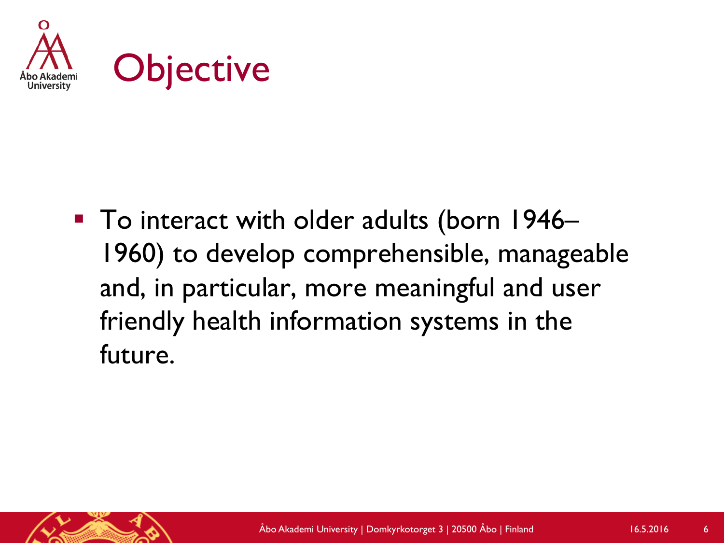

■ To interact with older adults (born 1946– 1960) to develop comprehensible, manageable and, in particular, more meaningful and user friendly health information systems in the future.

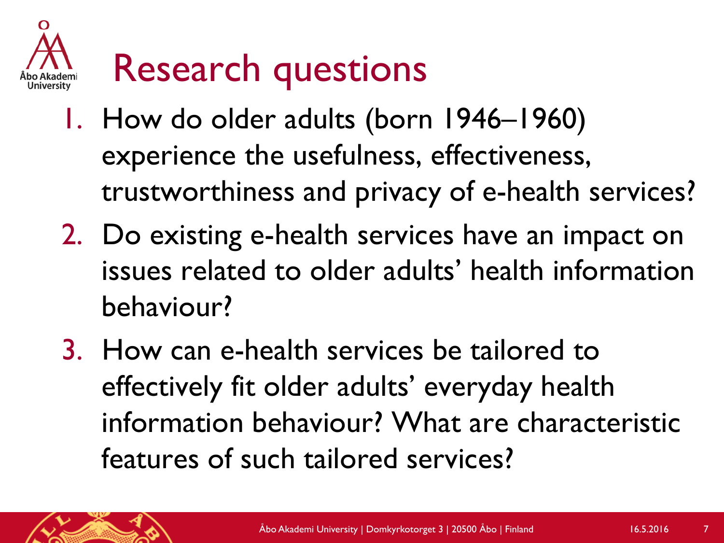

- 1. How do older adults (born 1946–1960) experience the usefulness, effectiveness, trustworthiness and privacy of e-health services?
- 2. Do existing e-health services have an impact on issues related to older adults' health information behaviour?
- 3. How can e-health services be tailored to effectively fit older adults' everyday health information behaviour? What are characteristic features of such tailored services?

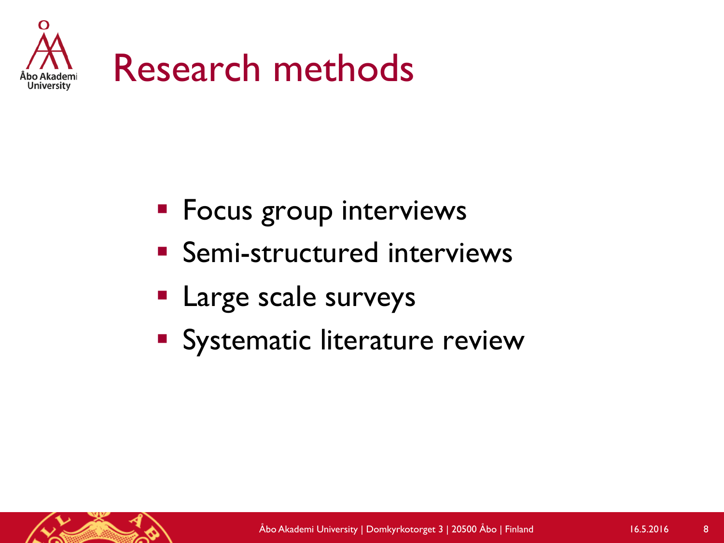

- **Focus group interviews**
- Semi-structured interviews
- § Large scale surveys
- Systematic literature review

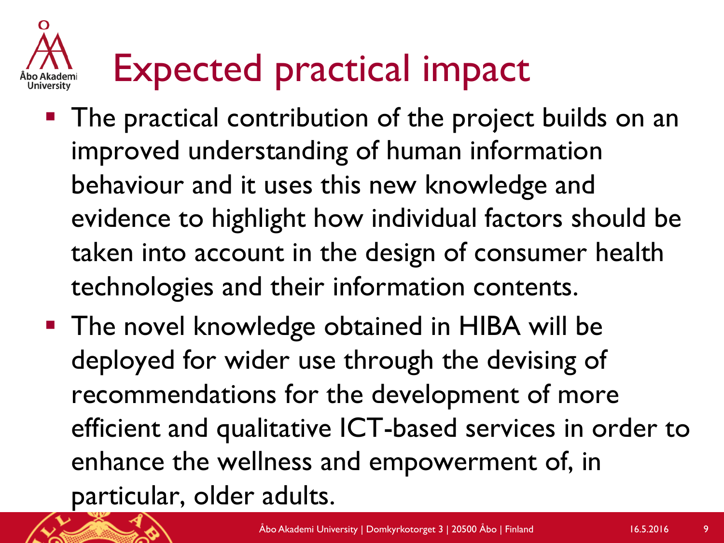# Expected practical impact

- The practical contribution of the project builds on an improved understanding of human information behaviour and it uses this new knowledge and evidence to highlight how individual factors should be taken into account in the design of consumer health technologies and their information contents.
- The novel knowledge obtained in HIBA will be deployed for wider use through the devising of recommendations for the development of more efficient and qualitative ICT-based services in order to enhance the wellness and empowerment of, in particular, older adults.

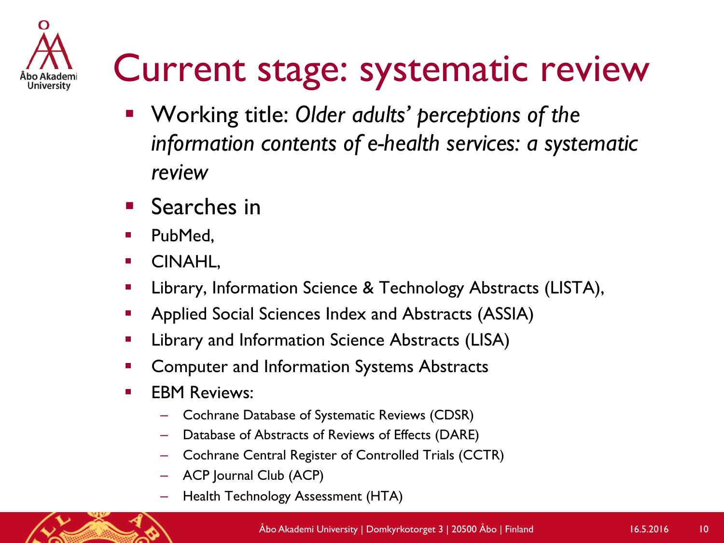

### Current stage: systematic review

- § Working title: *Older adults' perceptions of the information contents of e-health services: a systematic review*
- Searches in
- PubMed,
- § CINAHL,
- § Library, Information Science & Technology Abstracts (LISTA),
- § Applied Social Sciences Index and Abstracts (ASSIA)
- § Library and Information Science Abstracts (LISA)
- § Computer and Information Systems Abstracts
- **EBM Reviews:** 
	- Cochrane Database of Systematic Reviews (CDSR)
	- Database of Abstracts of Reviews of Effects (DARE)
	- Cochrane Central Register of Controlled Trials (CCTR)
	- ACP Journal Club (ACP)
	- Health Technology Assessment (HTA)

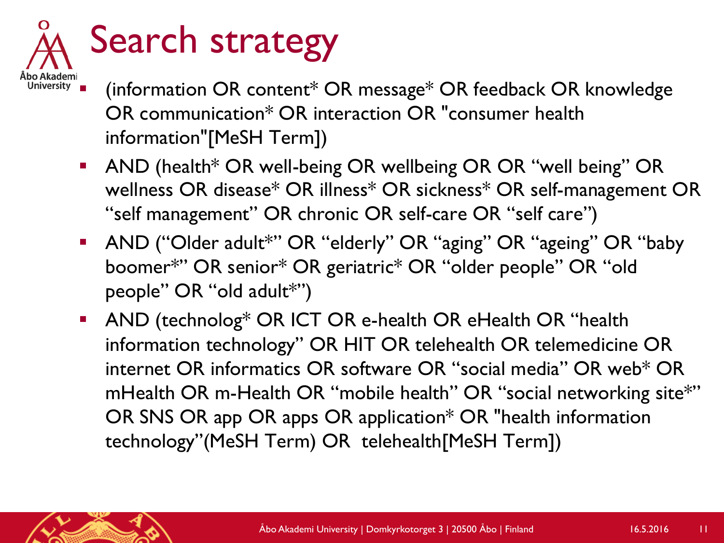

- $\vec{S}$  (information OR content\* OR message\* OR feedback OR knowledge OR communication\* OR interaction OR "consumer health information"[MeSH Term])
	- AND (health<sup>\*</sup> OR well-being OR wellbeing OR OR "well being" OR wellness OR disease\* OR illness\* OR sickness\* OR self-management OR "self management" OR chronic OR self-care OR "self care")
	- AND ("Older adult\*" OR "elderly" OR "aging" OR "ageing" OR "baby boomer\*" OR senior\* OR geriatric\* OR "older people" OR "old people" OR "old adult\*")
	- AND (technolog\* OR ICT OR e-health OR eHealth OR "health information technology" OR HIT OR telehealth OR telemedicine OR internet OR informatics OR software OR "social media" OR web\* OR mHealth OR m-Health OR "mobile health" OR "social networking site\*" OR SNS OR app OR apps OR application\* OR "health information technology"(MeSH Term) OR telehealth[MeSH Term])

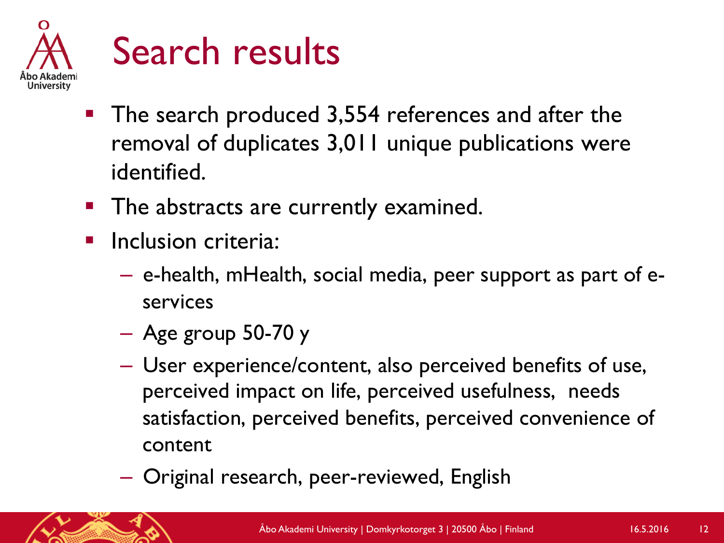

### Search results

- The search produced 3,554 references and after the removal of duplicates 3,011 unique publications were identified.
- The abstracts are currently examined.
- Inclusion criteria:
	- e-health, mHealth, social media, peer support as part of eservices
	- Age group 50-70 y
	- User experience/content, also perceived benefits of use, perceived impact on life, perceived usefulness, needs satisfaction, perceived benefits, perceived convenience of content
	- Original research, peer-reviewed, English

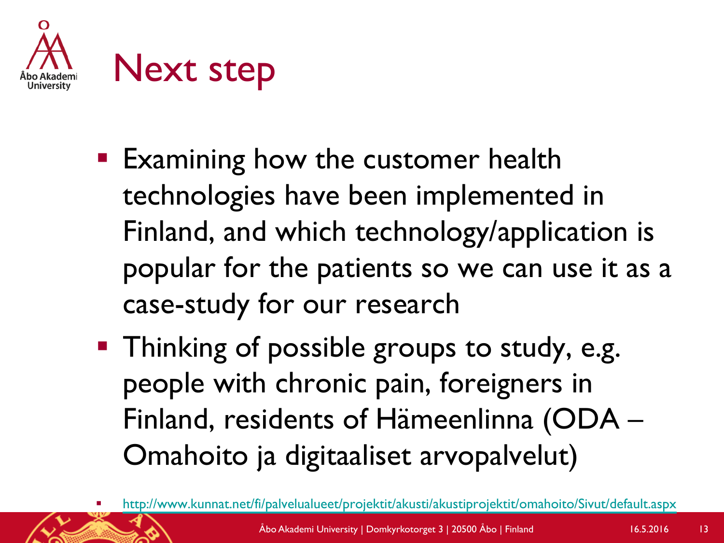

- Examining how the customer health technologies have been implemented in Finland, and which technology/application is popular for the patients so we can use it as a case-study for our research
- Thinking of possible groups to study, e.g. people with chronic pain, foreigners in Finland, residents of Hämeenlinna (ODA – Omahoito ja digitaaliset arvopalvelut)

<sup>§</sup> http://www.kunnat.net/fi/palvelualueet/projektit/akusti/akustiprojektit/omahoito/Sivut/default.aspx Åbo Akademi University | Domkyrkotorget 3 | 20500 Åbo | Finland 16.5.2016 <sup>13</sup>